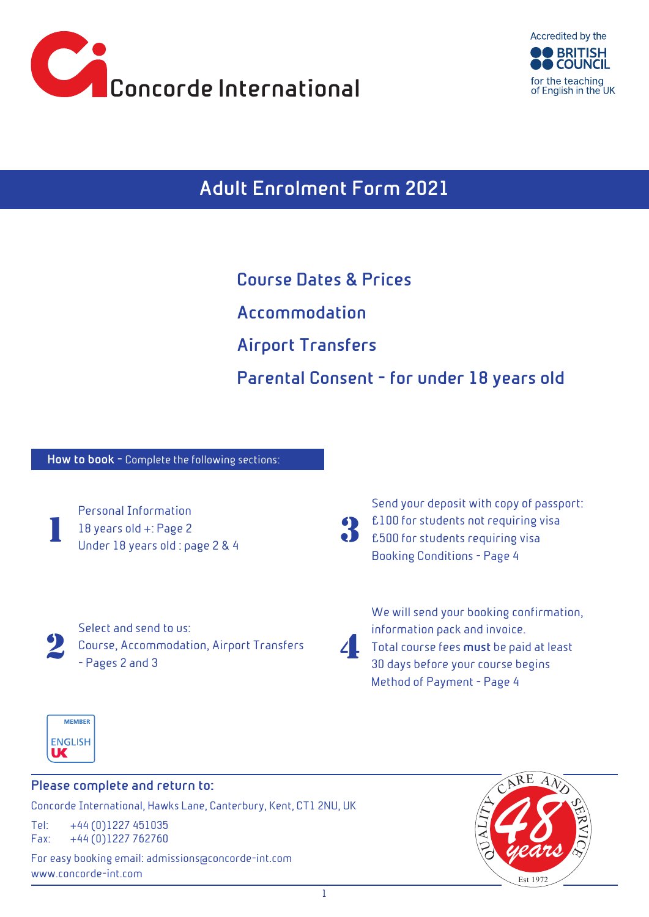



**Adult Enrolment Form 2021**

**Course Dates & Prices Accommodation Airport Transfers Parental Consent - for under 18 years old**

**How to book -** Complete the following sections:



Personal Information 18 years old +: Page 2 Under 18 years old : page 2 & 4

3

Send your deposit with copy of passport: £100 for students not requiring visa £500 for students requiring visa Booking Conditions - Page 4



Select and send to us:  $\sum_{\text{Papes 2 and 3}}$ - Pages 2 and 3

We will send your booking confirmation, information pack and invoice. Total course fees **must** be paid at least 30 days before your course begins Method of Payment - Page 4



# **Please complete and return to:**

Concorde International, Hawks Lane, Canterbury, Kent, CT1 2NU, UK

Tel: +44 (0)1227 451035 Fax: +44 (0)1227 762760

For easy booking email: admissions@concorde-int.com www.concorde-int.com

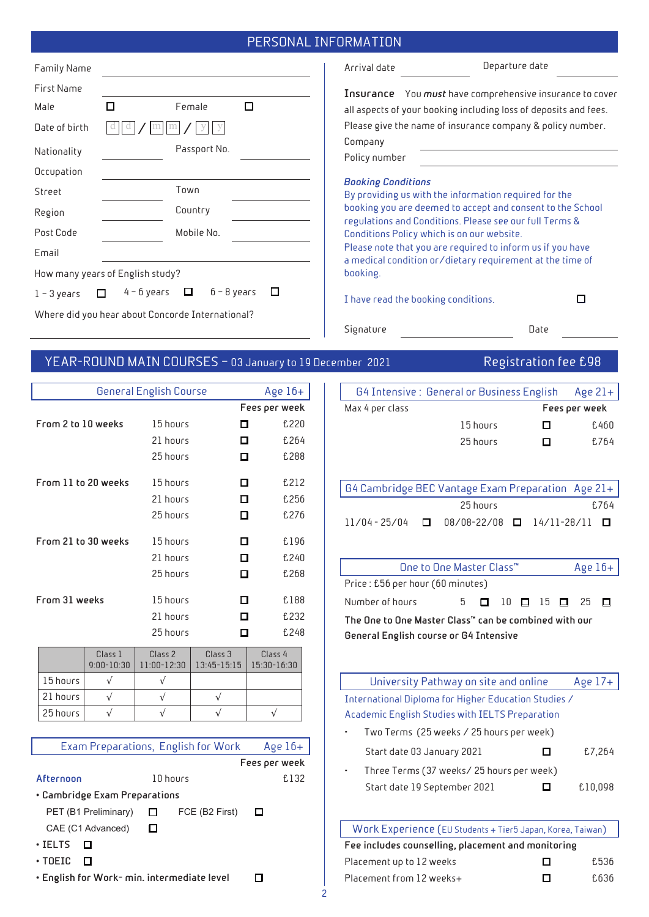## PERSONAL INFORMATION

| <b>Family Name</b>                               |                                             |              |  |  |  |  |
|--------------------------------------------------|---------------------------------------------|--------------|--|--|--|--|
| First Name                                       |                                             |              |  |  |  |  |
| Male                                             |                                             | Female       |  |  |  |  |
| Date of birth                                    |                                             |              |  |  |  |  |
| Nationality                                      |                                             | Passport No. |  |  |  |  |
| Occupation                                       |                                             |              |  |  |  |  |
| Street                                           | Town                                        |              |  |  |  |  |
| Region                                           | Country                                     |              |  |  |  |  |
| Post Code                                        |                                             | Mobile No.   |  |  |  |  |
| Email                                            |                                             |              |  |  |  |  |
| How many years of English study?                 |                                             |              |  |  |  |  |
| $1 - 3$ years                                    | 4 – 6 years<br>$6 - 8$ years<br>$\Box$<br>H |              |  |  |  |  |
| Where did you hear about Concorde International? |                                             |              |  |  |  |  |

Arrival date Departure date

**Insurance** You *must* have comprehensive insurance to cover all aspects of your booking including loss of deposits and fees. Please give the name of insurance company & policy number. Company

Policy number

#### *Booking Conditions*

By providing us with the information required for the booking you are deemed to accept and consent to the School regulations and Conditions. Please see our full Terms & Conditions Policy which is on our website.

Please note that you are required to inform us if you have a medical condition or/dietary requirement at the time of booking.

I have read the booking conditions.

Signature Date

 $\Box$ 

YEAR-ROUND MAIN COURSES - 03 January to 19 December 2021 Registration fee £98

|                     |                           | General English Course              |                                   |                        |  |  |  |
|---------------------|---------------------------|-------------------------------------|-----------------------------------|------------------------|--|--|--|
|                     | Age $16+$                 |                                     |                                   |                        |  |  |  |
|                     |                           |                                     |                                   | Fees per week          |  |  |  |
| From 2 to 10 weeks  |                           | 15 hours                            | п                                 | £220                   |  |  |  |
|                     |                           | 21 hours                            | п                                 | £264                   |  |  |  |
|                     |                           | 25 hours                            | п                                 | £288                   |  |  |  |
| From 11 to 20 weeks |                           | 15 hours                            | п                                 | £212                   |  |  |  |
|                     |                           | 21 hours                            | п                                 | £256                   |  |  |  |
|                     |                           | 25 hours                            | п                                 | £276                   |  |  |  |
| From 21 to 30 weeks |                           | 15 hours                            | п                                 | £196                   |  |  |  |
|                     |                           | 21 hours                            | п                                 | £240                   |  |  |  |
|                     |                           | 25 hours                            | п                                 | £268                   |  |  |  |
| From 31 weeks       |                           | 15 hours                            | п                                 | £188                   |  |  |  |
|                     |                           | 21 hours                            | п                                 | £232                   |  |  |  |
|                     |                           | 25 hours                            | п                                 | £248                   |  |  |  |
|                     | Class 1<br>$9:00 - 10:30$ | Class <sub>2</sub><br>11:00-12:30   | Class <sub>3</sub><br>13:45-15:15 | Class 4<br>15:30-16:30 |  |  |  |
| 15 hours            | $\sqrt{}$                 | $\sqrt{}$                           |                                   |                        |  |  |  |
| 21 hours            | $\sqrt{}$                 | $\sqrt{}$                           | $\sqrt{}$                         |                        |  |  |  |
| 25 hours            | $\sqrt{}$                 | $\sqrt{}$                           | $\sqrt{}$                         | $\sqrt{}$              |  |  |  |
|                     |                           |                                     |                                   |                        |  |  |  |
|                     |                           | Exam Preparations, English for Work |                                   | Age $16+$              |  |  |  |
|                     |                           |                                     |                                   | Fees per week          |  |  |  |
| Afternoon           |                           | 10 hours                            |                                   | £132                   |  |  |  |
|                     |                           |                                     |                                   |                        |  |  |  |

• **Cambridge Exam Preparations**

PET (B1 Preliminary) □ FCE (B2 First)  $\Box$ CAE (C1 Advanced)  $\Box$ 

|  |  | AE (CT Advanced) |  |
|--|--|------------------|--|
|  |  |                  |  |

- **IELTS**
- **TOEIC**
- **English for Work- min. intermediate level**   $\Box$

| G4 Intensive: General or Business English Age 21+ |          |     |               |
|---------------------------------------------------|----------|-----|---------------|
| Max 4 per class                                   |          |     | Fees per week |
|                                                   | 15 hours | . . | £460          |
|                                                   | 25 hours | П   | f.764         |

| $\mid$ G4 Cambridge BEC Vantage Exam Preparation $\mid$ Age 21+ $\mid$ |          |  |       |
|------------------------------------------------------------------------|----------|--|-------|
|                                                                        | 25 hours |  | f.764 |
| $11/04 - 25/04$ $\Box$ 08/08-22/08 $\Box$ 14/11-28/11 $\Box$           |          |  |       |

| One to One Master Class™                              |  |  |  |  |  |  | Age $16+$                                      |  |
|-------------------------------------------------------|--|--|--|--|--|--|------------------------------------------------|--|
| Price : £56 per hour (60 minutes)                     |  |  |  |  |  |  |                                                |  |
| Number of hours                                       |  |  |  |  |  |  | $5$ $\Box$ $10$ $\Box$ $15$ $\Box$ $25$ $\Box$ |  |
| The One to One Master Class™ can be combined with our |  |  |  |  |  |  |                                                |  |
| General English course or G4 Intensive                |  |  |  |  |  |  |                                                |  |

|                                                 | University Pathway on site and online                |  | Age $17+$ |  |  |  |  |
|-------------------------------------------------|------------------------------------------------------|--|-----------|--|--|--|--|
|                                                 | International Diploma for Higher Education Studies / |  |           |  |  |  |  |
| Academic English Studies with IELTS Preparation |                                                      |  |           |  |  |  |  |
|                                                 | Two Terms (25 weeks / 25 hours per week)             |  |           |  |  |  |  |
|                                                 | Start date 03 January 2021                           |  | £7,264    |  |  |  |  |
|                                                 | Three Terms (37 weeks/25 hours per week)             |  |           |  |  |  |  |
|                                                 | Start date 19 September 2021                         |  | £10,098   |  |  |  |  |

| Work Experience (EU Students + Tier5 Japan, Korea, Taiwan) |     |       |  |  |  |  |
|------------------------------------------------------------|-----|-------|--|--|--|--|
| Fee includes counselling, placement and monitoring         |     |       |  |  |  |  |
| Placement up to 12 weeks                                   | П   | f.536 |  |  |  |  |
| Placement from 12 weeks+                                   | 1 I | f.636 |  |  |  |  |
|                                                            |     |       |  |  |  |  |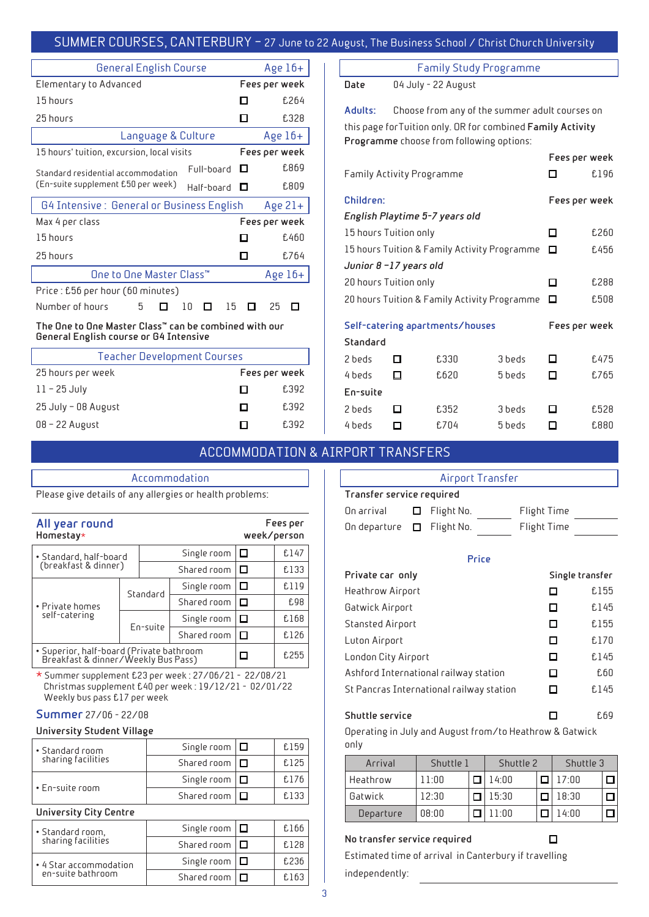### SUMMER COURSES, CANTERBURY – 27 June to 22 August, The Business School / Christ Church University

| <b>General English Course</b>                                     |  |    |            |    |   | Age $16+$     |      |
|-------------------------------------------------------------------|--|----|------------|----|---|---------------|------|
| Elementary to Advanced                                            |  |    |            |    |   | Fees per week |      |
| 15 hours                                                          |  |    |            |    |   |               | £264 |
| 25 hours                                                          |  |    |            |    |   |               | £328 |
| Age $16+$<br>Language & Culture                                   |  |    |            |    |   |               |      |
| 15 hours' tuition, excursion, local visits                        |  |    |            |    |   | Fees per week |      |
| Standard residential arrommodation                                |  |    | Full-board |    | П |               | £869 |
| (En-suite supplement £50 per week)<br>Half-board                  |  |    |            |    | □ |               | £809 |
| G4 Intensive : General or Business English                        |  |    |            |    |   | Age $21+$     |      |
| Max 4 per class                                                   |  |    |            |    |   | Fees per week |      |
| 15 hours                                                          |  |    |            |    | П |               | £460 |
| 25 hours                                                          |  |    |            |    | П |               | £764 |
| One to One Master Class™<br>Age $16+$                             |  |    |            |    |   |               |      |
| Price : £56 per hour (60 minutes)                                 |  |    |            |    |   |               |      |
| Number of hours<br>5                                              |  | 10 | П          | 15 |   | 25            | П    |
| The Dee to Dee Mastes Class $\mathbb{R}$ and he sembiaed with our |  |    |            |    |   |               |      |

**The One to One Master Class™ can be combined with our General English course or G4 Intensive**

| <b>Teacher Development Courses</b> |               |       |  |  |  |
|------------------------------------|---------------|-------|--|--|--|
| 25 hours per week                  | Fees per week |       |  |  |  |
| $11 - 25$ July                     | ы             | £392  |  |  |  |
| 25 July - 08 August                | ы             | £392  |  |  |  |
| 08 - 22 August                     | I I           | f.392 |  |  |  |

Accommodation

Please give details of any allergies or health problems:

Family Study Programme

**Date** 04 July - 22 August

**Adults:** Choose from any of the summer adult courses on this page forTuition only. OR for combined **Family Activity Programme** choose from following options:

|                                              |   |                                              |        | Fees per week |      |
|----------------------------------------------|---|----------------------------------------------|--------|---------------|------|
| Family Activity Programme                    |   |                                              |        |               | £196 |
| Children:                                    |   |                                              |        | Fees per week |      |
|                                              |   | English Playtime 5-7 years old               |        |               |      |
| 15 hours Tuition only                        | п | £260                                         |        |               |      |
|                                              |   | 15 hours Tuition & Family Activity Programme |        | □             | £456 |
| Junior 8-17 years old                        |   |                                              |        |               |      |
| 20 hours Tuition only                        |   |                                              |        | П             | £288 |
| 20 hours Tuition & Family Activity Programme |   |                                              |        | □             | £508 |
|                                              |   | Self-catering apartments/houses              |        | Fees per week |      |
| Standard                                     |   |                                              |        |               |      |
| 2 beds                                       | п | £330                                         | 3 beds | П             | £475 |
| 4 beds                                       | п | £620                                         | 5 beds | п             | £765 |
| En-suite                                     |   |                                              |        |               |      |
| 2 beds                                       |   | £352                                         | 3 beds |               | £528 |
| 4 beds                                       | П | £704                                         | 5 beds | ΙI            | £880 |

## ACCOMMODATION & AIRPORT TRANSFERS

**Fees per** 

| Airport Transfer               |  |                   |  |             |  |  |
|--------------------------------|--|-------------------|--|-------------|--|--|
| Transfer service required      |  |                   |  |             |  |  |
| On arrival                     |  | $\Box$ Flight No. |  | Flight Time |  |  |
| On departure $\Box$ Flight No. |  |                   |  | Flight Time |  |  |

**Price**

| Private car only                         |   | Single transfer |
|------------------------------------------|---|-----------------|
| Heathrow Airport                         | □ | £155            |
| Gatwick Airport                          | □ | £145            |
| Stansted Airport                         | □ | £155            |
| Luton Airport                            | □ | £170            |
| London City Airport                      | □ | £145            |
| Ashford International railway station    | □ | £60             |
| St Pancras International railway station | □ | £145            |
| <b>Shuttle service</b>                   |   | f.69            |

Operating in July and August from/to Heathrow & Gatwick only

| Arrival   | Shuttle 1 |  | Shuttle 2 |  | Shuttle 3 |  |
|-----------|-----------|--|-----------|--|-----------|--|
| Heathrow  | 11:00     |  | 14:00     |  | 17:00     |  |
| Gatwick   | 12.30     |  | 15:30     |  | 18:30     |  |
| Departure | 08:00     |  | חח 1      |  | 1 4·በበ    |  |

 $\Box$ 

### **No transfer service required**

Estimated time of arrival in Canterbury if travelling independently:

| Homestay*                                      |          |             |             |        | week/person |
|------------------------------------------------|----------|-------------|-------------|--------|-------------|
| · Standard, half-board<br>(breakfast & dinner) |          |             | Single room | ப      | £147        |
|                                                |          |             | Shared room | $\Box$ | £133        |
| • Private homes<br>self-catering               | Standard |             | Single room | □      | £119        |
|                                                |          |             | Shared room | $\Box$ | £98         |
|                                                | En-suite | Single room | ப           | £168   |             |
|                                                |          |             | Shared room |        | £126        |
| • Superior, half-board (Private bathroom       |          |             |             | 0.055  |             |

• Superior, half-board (Private bathroom Breakfast & dinner/Weekly Bus Pass) £255 \* Summer supplement £23 per week : 27/06/21 - 22/08/21 Christmas supplement £40 per week : 19/12/21 - 02/01/22

Weekly bus pass £17 per week

### **Summer** 27/06 - 22/08

**All year round** 

### **University Student Village**

| • Standard room<br>sharing facilities | Single room $ \Box$ | f.159 |
|---------------------------------------|---------------------|-------|
|                                       | Shared room $\Box$  | f.125 |
| $\cdot$ En-suite room                 | Single room $\Box$  | f.176 |
|                                       | Shared room $\Box$  | £133  |

#### **University City Centre**

| • Standard room,<br>sharing facilities | Single room $ \Box$ | f.166 |
|----------------------------------------|---------------------|-------|
|                                        | Shared room $\Box$  | f.128 |
| • 4 Star accommodation                 | Single room $ \Box$ | f.236 |
| en-suite bathroom                      | Shared room         | f.163 |